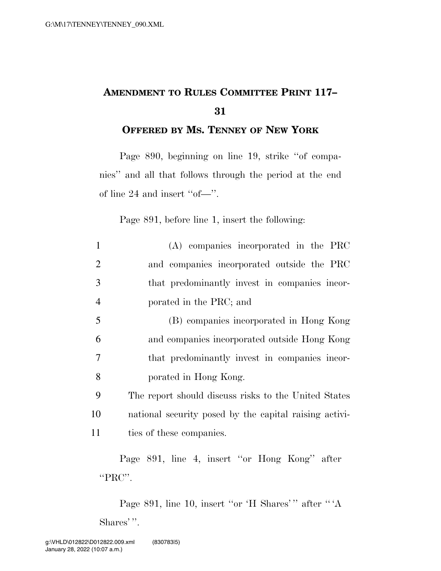## **AMENDMENT TO RULES COMMITTEE PRINT 117– 31**

**OFFERED BY MS. TENNEY OF NEW YORK**

Page 890, beginning on line 19, strike ''of companies'' and all that follows through the period at the end of line 24 and insert ''of—''.

Page 891, before line 1, insert the following:

| 1              | (A) companies incorporated in the PRC                  |
|----------------|--------------------------------------------------------|
| $\overline{2}$ | and companies incorporated outside the PRC             |
| 3              | that predominantly invest in companies incor-          |
| $\overline{4}$ | porated in the PRC; and                                |
| 5              | (B) companies incorporated in Hong Kong                |
| 6              | and companies incorporated outside Hong Kong           |
| 7              | that predominantly invest in companies incor-          |
| 8              | porated in Hong Kong.                                  |
| 9              | The report should discuss risks to the United States   |
| 10             | national security posed by the capital raising activi- |
| 11             | ties of these companies.                               |
|                |                                                        |

Page 891, line 4, insert ''or Hong Kong'' after "PRC".

Page 891, line 10, insert "or 'H Shares'" after "'A Shares'".